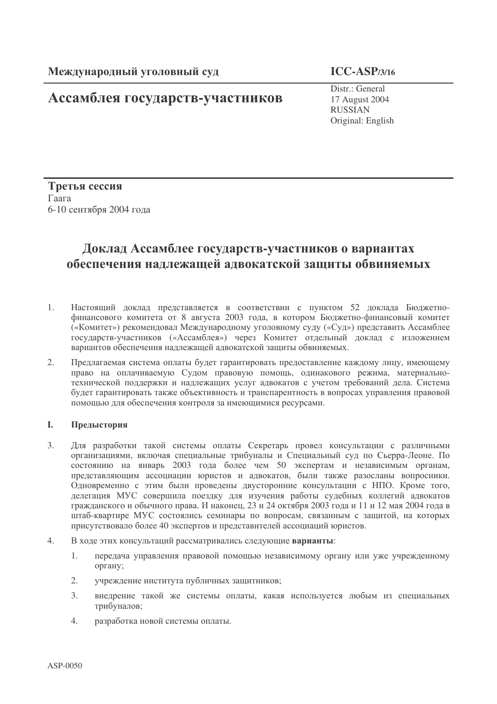# Ассамблея государств-участников

 $ICC-ASP/3/16$ 

Distr.: General 17 August 2004 **RUSSIAN** Original: English

Третья сессия Гаага 6-10 сентября 2004 года

# Доклад Ассамблее государств-участников о вариантах обеспечения надлежащей адвокатской защиты обвиняемых

- $1.$ Настоящий доклад представляется в соответствии с пунктом 52 доклада Бюджетнофинансового комитета от 8 августа 2003 года, в котором Бюджетно-финансовый комитет («Комитет») рекомендовал Международному уголовному суду («Суд») представить Ассамблее государств-участников («Ассамблея») через Комитет отдельный доклад с изложением вариантов обеспечения надлежащей адвокатской защиты обвиняемых.
- $2.$ Предлагаемая система оплаты будет гарантировать предоставление каждому лицу, имеющему право на оплачиваемую Судом правовую помощь, одинакового режима, материальнотехнической поддержки и надлежащих услуг адвокатов с учетом требований дела. Система будет гарантировать также объективность и транспарентность в вопросах управления правовой помощью для обеспечения контроля за имеющимися ресурсами.

#### L Предыстория

- $\mathcal{Z}$ Для разработки такой системы оплаты Секретарь провел консультации с различными организациями, включая специальные трибуналы и Специальный суд по Сьерра-Леоне. По состоянию на январь 2003 года более чем 50 экспертам и независимым органам, представляющим ассоциации юристов и адвокатов, были также разосланы вопросники. Одновременно с этим были проведены двусторонние консультации с НПО. Кроме того, делегация МУС совершила поездку для изучения работы судебных коллегий адвокатов гражданского и обычного права. И наконец, 23 и 24 октября 2003 года и 11 и 12 мая 2004 года в штаб-квартире МУС состоялись семинары по вопросам, связанным с защитой, на которых присутствовало более 40 экспертов и представителей ассоциаций юристов.
- $4.$ В ходе этих консультаций рассматривались следующие варианты:
	- передача управления правовой помощью независимому органу или уже учрежденному  $\mathbf{1}$ органу;
	- $2.$ учреждение института публичных защитников;
	- $\overline{3}$ . внедрение такой же системы оплаты, какая используется любым из специальных трибуналов;
	- $\overline{4}$ . разработка новой системы оплаты.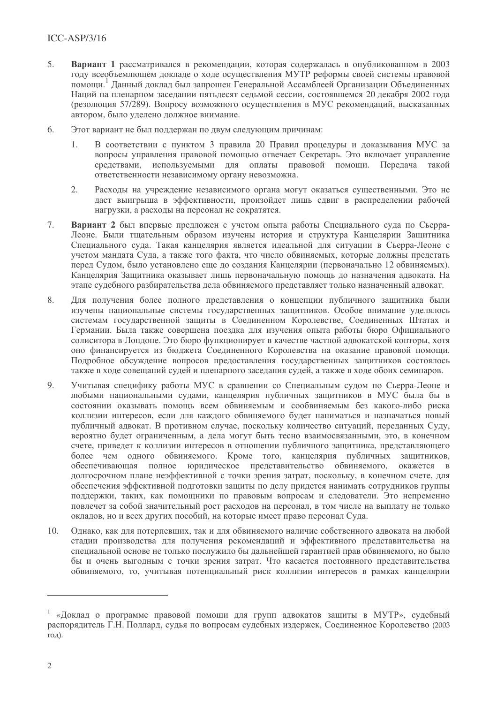- $\overline{5}$ . Вариант 1 рассматривался в рекомендации, которая содержалась в опубликованном в 2003 году всеобъемлющем докладе о ходе осуществления МУТР реформы своей системы правовой помощи. Данный доклад был запрошен Генеральной Ассамблеей Организации Объединенных Наций на пленарном заседании пятьдесят седьмой сессии, состоявшемся 20 декабря 2002 года (резолюция 57/289). Вопросу возможного осуществления в МУС рекомендаций, высказанных автором, было уделено должное внимание.
- $6<sub>1</sub>$ Этот вариант не был поддержан по двум следующим причинам:
	- $\mathbf{1}$ В соответствии с пунктом 3 правила 20 Правил процедуры и доказывания МУС за вопросы управления правовой помощью отвечает Секретарь. Это включает управление средствами, используемыми для оплаты правовой помоши. Передача такой ответственности независимому органу невозможна.
	- Расходы на учреждение независимого органа могут оказаться существенными. Это не  $2.$ ласт выигрыша в эффективности, произойлет лишь слвиг в распределении рабочей нагрузки, а расходы на персонал не сократятся.
- 7. Вариант 2 был впервые предложен с учетом опыта работы Специального суда по Сьерра-Леоне. Были тшательным образом изучены история и структура Канцелярии Зашитника Специального сула. Такая канцелярия является идеальной для ситуации в Сьерра-Леоне с учетом манлата Сула, а также того факта, что число обвиняемых, которые лолжны прелстать перел Судом, было установлено еще до создания Канцелярии (первоначально 12 обвиняемых). Канцелярия Зашитника оказывает лишь первоначальную помошь до назначения алвоката. На этапе судебного разбирательства дела обвиняемого представляет только назначенный адвокат.
- Для получения более полного представления о концепции публичного защитника были 8. изучены национальные системы государственных защитников. Особое внимание уделялось системам государственной защиты в Соединенном Королевстве, Соединенных Штатах и Германии. Была также совершена поездка для изучения опыта работы бюро Официального солиситора в Лондоне. Это бюро функционирует в качестве частной адвокатской конторы, хотя оно финансируется из бюджета Соединенного Королевства на оказание правовой помощи. Подробное обсуждение вопросов предоставления государственных защитников состоялось также в ходе совещаний судей и пленарного заседания судей, а также в ходе обоих семинаров.
- $Q_{1}$ Учитывая специфику работы МУС в сравнении со Специальным судом по Сьерра-Леоне и любыми национальными судами, канцелярия публичных защитников в МУС была бы в состоянии оказывать помощь всем обвиняемым и сообвиняемым без какого-либо риска коллизии интересов, если для каждого обвиняемого будет наниматься и назначаться новый публичный адвокат. В противном случае, поскольку количество ситуаций, переданных Суду, вероятно будет ограниченным, а дела могут быть тесно взаимосвязанными, это, в конечном счете, приведет к коллизии интересов в отношении публичного защитника, представляющего более чем одного обвиняемого. Кроме того, канцелярия публичных защитников, обеспечивающая полное юридическое представительство обвиняемого, окажется в долгосрочном плане неэффективной с точки зрения затрат, поскольку, в конечном счете, для обеспечения эффективной подготовки защиты по делу придется нанимать сотрудников группы поддержки, таких, как помощники по правовым вопросам и следователи. Это непременно повлечет за собой значительный рост расходов на персонал, в том числе на выплату не только окладов, но и всех других пособий, на которые имеет право персонал Суда.
- Однако, как для потерпевших, так и для обвиняемого наличие собственного адвоката на любой 10. стадии производства для получения рекомендаций и эффективного представительства на специальной основе не только послужило бы дальнейшей гарантией прав обвиняемого, но было бы и очень выгодным с точки зрения затрат. Что касается постоянного представительства обвиняемого, то, учитывая потенциальный риск коллизии интересов в рамках канцелярии

<sup>&</sup>lt;sup>1</sup> «Доклад о программе правовой помощи для групп адвокатов защиты в МУТР», судебный распорядитель Г.Н. Поллард, судья по вопросам судебных издержек, Соединенное Королевство (2003 год).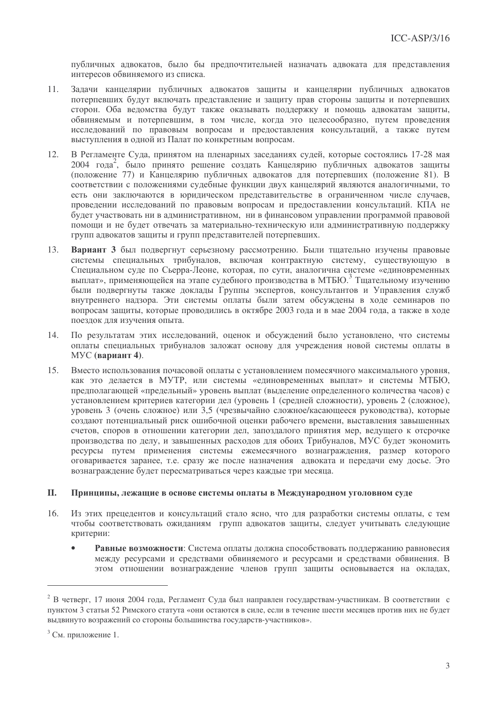публичных адвокатов, было бы предпочтительней назначать адвоката для представления интересов обвиняемого из списка.

- Задачи канцелярии публичных адвокатов защиты и канцелярии публичных адвокатов  $11.$ потерпевших булут включать представление и зашиту прав стороны зашиты и потерпевших сторон. Оба ведомства будут также оказывать поддержку и помощь адвокатам защиты, обвиняемым и потерпевшим, в том числе, когда это целесообразно, путем проведения исслелований по правовым вопросам и прелоставления консультаций, а также путем выступления в одной из Палат по конкретным вопросам.
- $12.$ В Регламенте Сула, принятом на пленарных заселаниях сулей, которые состоялись 17-28 мая 2004 года<sup>2</sup>, было принято решение создать Канцелярию публичных адвокатов защиты (положение 77) и Канцелярию публичных адвокатов для потерпевших (положение 81). В соответствии с положениями судебные функции двух канцелярий являются аналогичными, то есть они заключаются в юрилическом прелставительстве в ограниченном числе случаев. провелении исследований по правовым вопросам и предоставлении консультаций. КПА не будет участвовать ни в административном, ни в финансовом управлении программой правовой помоши и не булет отвечать за материально-техническую или алминистративную поллержку групп адвокатов зашиты и групп представителей потерпевших.
- $13.$ Вариант 3 был подвергнут серьезному рассмотрению. Были тщательно изучены правовые системы специальных трибуналов, включая контрактную систему, существующую в Специальном суде по Сьерра-Леоне, которая, по сути, аналогична системе «единовременных выплат», применяющейся на этапе судебного производства в МТБЮ. Тшательному изучению были подвергнуты также доклады Группы экспертов, консультантов и Управления служб внутреннего надзора. Эти системы оплаты были затем обсуждены в ходе семинаров по вопросам защиты, которые проводились в октябре 2003 года и в мае 2004 года, а также в ходе поездок для изучения опыта.
- По результатам этих исследований, оценок и обсуждений было установлено, что системы  $14.$ оплаты специальных трибуналов заложат основу для учреждения новой системы оплаты в МУС (вариант 4).
- 15. Вместо использования почасовой оплаты с установлением помесячного максимального уровня, как это делается в МУТР, или системы «единовременных выплат» и системы МТБЮ, предполагающей «предельный» уровень выплат (выделение определенного количества часов) с установлением критериев категории дел (уровень 1 (средней сложности), уровень 2 (сложное), уровень 3 (очень сложное) или 3,5 (чрезвычайно сложное/касающееся руководства), которые создают потенциальный риск ошибочной оценки рабочего времени, выставления завышенных счетов, споров в отношении категории дел, запоздалого принятия мер, ведущего к отсрочке производства по делу, и завышенных расходов для обоих Трибуналов, МУС будет экономить ресурсы путем применения системы ежемесячного вознаграждения, размер которого оговаривается заранее, т.е. сразу же после назначения адвоката и передачи ему досье. Это вознаграждение будет пересматриваться через каждые три месяца.

#### II. Принципы, лежащие в основе системы оплаты в Международном уголовном суде

- 16. Из этих прецедентов и консультаций стало ясно, что для разработки системы оплаты, с тем чтобы соответствовать ожиданиям групп адвокатов защиты, следует учитывать следующие критерии:
	- Равные возможности: Система оплаты должна способствовать поддержанию равновесия между ресурсами и средствами обвиняемого и ресурсами и средствами обвинения. В этом отношении вознаграждение членов групп защиты основывается на окладах,

<sup>&</sup>lt;sup>2</sup> В четверг, 17 июня 2004 года, Регламент Суда был направлен государствам-участникам. В соответствии с пунктом 3 статьи 52 Римского статута «они остаются в силе, если в течение шести месяцев против них не будет выдвинуто возражений со стороны большинства государств-участников».

 $3$  См. приложение 1.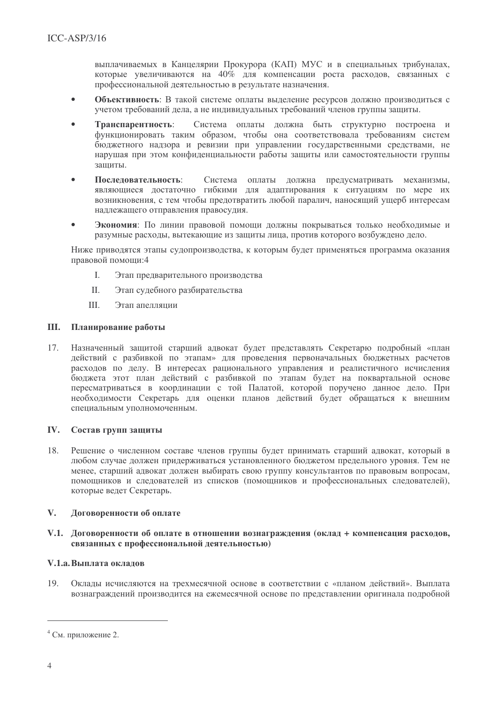выплачиваемых в Канцелярии Прокурора (КАП) МУС и в специальных трибуналах, которые увеличиваются на  $40\%$  для компенсации роста расходов, связанных с профессиональной деятельностью в результате назначения.

- Объективность: В такой системе оплаты выделение ресурсов должно производиться с учетом требований дела, а не индивидуальных требований членов группы зашиты.
- Система оплаты должна быть структурно построена и Транспарентность: функционировать таким образом, чтобы она соответствовала требованиям систем бюлжетного налзора и ревизии при управлении государственными средствами, не нарушая при этом конфиленциальности работы защиты или самостоятельности группы зашиты.
- Послеловательность: Система оплаты должна предусматривать механизмы, являющиеся достаточно гибкими для адаптирования к ситуациям по мере их возникновения, с тем чтобы предотвратить любой паралич, наносящий ушерб интересам наллежашего отправления правосулия.
- Экономия: По линии правовой помощи должны покрываться только необходимые и разумные расходы, вытекающие из защиты лица, против которого возбуждено дело.

Ниже приводятся этапы судопроизводства, к которым будет применяться программа оказания правовой помоши:4

- $\mathbf{L}$ Этап предварительного производства
- $\Pi$ Этап судебного разбирательства
- Ш. Этап апелляции

## **III.** Планирование работы

17. Назначенный защитой старший адвокат будет представлять Секретарю подробный «план действий с разбивкой по этапам» для проведения первоначальных бюджетных расчетов расходов по делу. В интересах рационального управления и реалистичного исчисления бюджета этот план действий с разбивкой по этапам будет на поквартальной основе пересматриваться в координации с той Палатой, которой поручено данное дело. При необходимости Секретарь для оценки планов действий будет обращаться к внешним специальным уполномоченным.

## **IV.** Состав групп защиты

18. Решение о численном составе членов группы будет принимать старший адвокат, который в любом случае должен придерживаться установленного бюджетом предельного уровня. Тем не менее, старший адвокат должен выбирать свою группу консультантов по правовым вопросам, помощников и следователей из списков (помощников и профессиональных следователей), которые ведет Секретарь.

#### $V_{\cdot}$ Договоренности об оплате

## V.1. Договоренности об оплате в отношении вознаграждения (оклад + компенсация расходов, связанных с профессиональной деятельностью)

## V.1.а. Выплата окладов

 $19<sub>1</sub>$ Оклады исчисляются на трехмесячной основе в соответствии с «планом действий». Выплата вознаграждений производится на ежемесячной основе по представлении оригинала подробной

 $4$  См. приложение 2.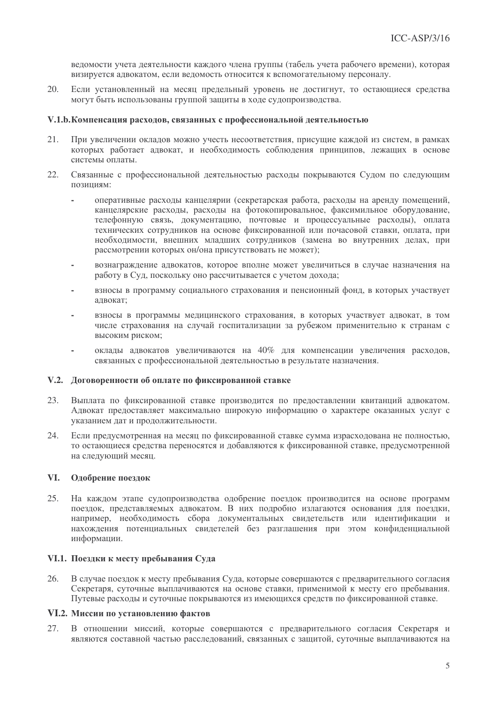ведомости учета деятельности каждого члена группы (табель учета рабочего времени), которая визируется алвокатом, если веломость относится к вспомогательному персоналу.

 $20<sup>1</sup>$ Если установленный на месяц предельный уровень не достигнут, то остающиеся средства могут быть использованы группой защиты в ходе судопроизводства.

### V.1.b. Компенсация расходов, связанных с профессиональной деятельностью

- $21.$ При увеличении окладов можно учесть несоответствия, присущие каждой из систем, в рамках которых работает адвокат, и необходимость соблюдения принципов, лежащих в основе системы оплаты.
- Связанные с профессиональной деятельностью расходы покрываются Судом по следующим  $22$ позиниям:
	- оперативные расхолы канцелярии (секретарская работа, расхолы на аренду помещений, канцелярские расходы, расходы на фотокопировальное, факсимильное оборудование, телефонную связь, документацию, почтовые и процессуальные расходы), оплата технических сотрудников на основе фиксированной или почасовой ставки, оплата, при необходимости, внешних младших сотрудников (замена во внутренних делах, при рассмотрении которых он/она присутствовать не может);
	- вознаграждение адвокатов, которое вполне может увеличиться в случае назначения на работу в Суд. поскольку оно рассчитывается с учетом дохода:
	- взносы в программу социального страхования и пенсионный фонд, в которых участвует алвокат:
	- взносы в программы медицинского страхования, в которых участвует адвокат, в том числе страхования на случай госпитализации за рубежом применительно к странам с высоким риском;
	- оклады адвокатов увеличиваются на 40% для компенсации увеличения расходов, связанных с профессиональной деятельностью в результате назначения.

## V.2. Договоренности об оплате по фиксированной ставке

- 23. Выплата по фиксированной ставке производится по предоставлении квитанций адвокатом. Адвокат предоставляет максимально широкую информацию о характере оказанных услуг с указанием дат и продолжительности.
- 24. Если предусмотренная на месяц по фиксированной ставке сумма израсходована не полностью, то остающиеся средства переносятся и добавляются к фиксированной ставке, предусмотренной на следующий месяц.

#### VI. Одобрение поездок

25. На каждом этапе судопроизводства одобрение поездок производится на основе программ поездок, представляемых адвокатом. В них подробно излагаются основания для поездки, например, необходимость сбора документальных свидетельств или идентификации и нахождения потенциальных свидетелей без разглашения при этом конфиденциальной информации.

## VI.1. Поездки к месту пребывания Суда

26. В случае поездок к месту пребывания Суда, которые совершаются с предварительного согласия Секретаря, суточные выплачиваются на основе ставки, применимой к месту его пребывания. Путевые расходы и суточные покрываются из имеющихся средств по фиксированной ставке.

### VI.2. Миссии по установлению фактов

В отношении миссий, которые совершаются с предварительного согласия Секретаря и 27. являются составной частью расследований, связанных с защитой, суточные выплачиваются на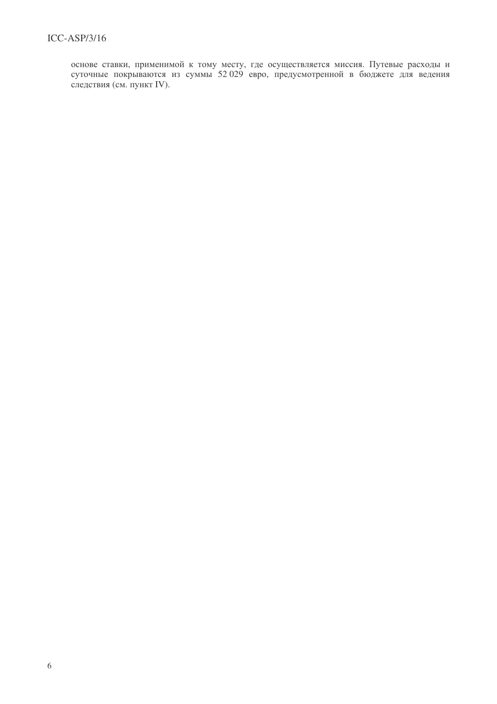основе ставки, применимой к тому месту, где осуществляется миссия. Путевые расходы и суточные покрываются из суммы 52 029 евро, предусмотренной в бюджете для ведения следствия (см. пункт IV).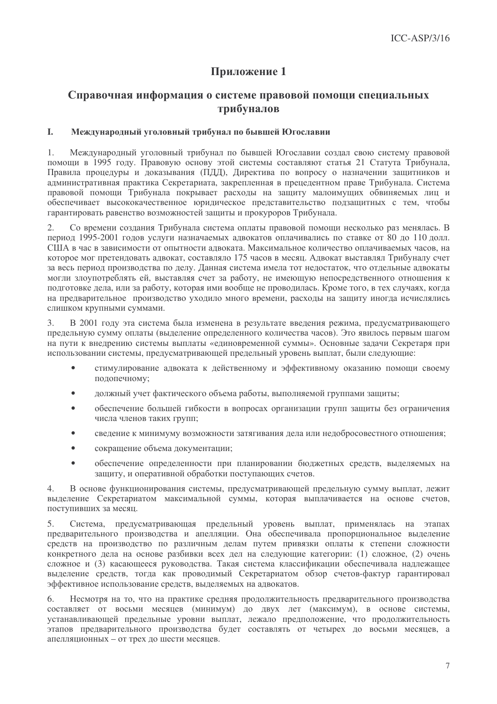# Приложение 1

## Справочная информация о системе правовой помощи специальных трибуналов

#### L. Международный уголовный трибунал по бывшей Югославии

Межлунаролный уголовный трибунал по бывшей Югославии созлал свою систему правовой  $\mathbf{1}$ помощи в 1995 году. Правовую основу этой системы составляют статья 21 Статута Трибунала, Правила процедуры и доказывания (ПДД), Директива по вопросу о назначении защитников и административная практика Секретариата, закрепленная в прецедентном праве Трибунала. Система правовой помощи Трибунала покрывает расходы на защиту малоимущих обвиняемых лиц и обеспечивает высококачественное юридическое представительство подзащитных с тем, чтобы гарантировать равенство возможностей защиты и прокуроров Трибунала.

 $\mathfrak{2}$ . Со времени создания Трибунала система оплаты правовой помощи несколько раз менялась. В период 1995-2001 годов услуги назначаемых адвокатов оплачивались по ставке от 80 до 110 долл. США в час в зависимости от опытности адвоката. Максимальное количество оплачиваемых часов, на которое мог претендовать адвокат, составляло 175 часов в месяц. Адвокат выставлял Трибуналу счет за весь период производства по делу. Данная система имела тот недостаток, что отдельные адвокаты могли злоупотреблять ей, выставляя счет за работу, не имеющую непосредственного отношения к подготовке дела, или за работу, которая ими вообще не проводилась. Кроме того, в тех случаях, когда на предварительное производство уходило много времени, расходы на защиту иногда исчислялись слишком крупными суммами.

В 2001 году эта система была изменена в результате введения режима, предусматривающего 3. предельную сумму оплаты (выделение определенного количества часов). Это явилось первым шагом на пути к внедрению системы выплаты «единовременной суммы». Основные задачи Секретаря при использовании системы, предусматривающей предельный уровень выплат, были следующие:

- стимулирование адвоката к действенному и эффективному оказанию помощи своему подопечному;
- должный учет фактического объема работы, выполняемой группами защиты;
- обеспечение большей гибкости в вопросах организации групп защиты без ограничения числа членов таких групп;
- сведение к минимуму возможности затягивания дела или недобросовестного отношения;  $\bullet$
- сокращение объема документации;  $\bullet$
- обеспечение определенности при планировании бюджетных средств, выделяемых на  $\bullet$ защиту, и оперативной обработки поступающих счетов.

В основе функционирования системы, предусматривающей предельную сумму выплат, лежит  $4.$ выделение Секретариатом максимальной суммы, которая выплачивается на основе счетов, поступивших за месяц.

Система, предусматривающая предельный уровень выплат, применялась на этапах  $5<sub>1</sub>$ предварительного производства и апелляции. Она обеспечивала пропорциональное выделение средств на производство по различным делам путем привязки оплаты к степени сложности конкретного дела на основе разбивки всех дел на следующие категории: (1) сложное, (2) очень сложное и (3) касающееся руководства. Такая система классификации обеспечивала надлежащее выделение средств, тогда как проводимый Секретариатом обзор счетов-фактур гарантировал эффективное использование средств, выделяемых на адвокатов.

6. Несмотря на то, что на практике средняя продолжительность предварительного производства составляет от восьми месяцев (минимум) до двух лет (максимум), в основе системы, устанавливающей предельные уровни выплат, лежало предположение, что продолжительность этапов предварительного производства будет составлять от четырех до восьми месяцев, а апелляционных - от трех до шести месяцев.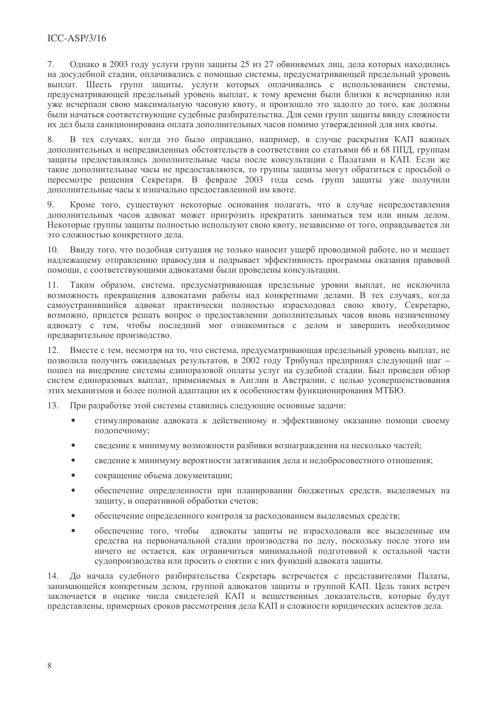## $ICC-ASP/3/16$

Олнако в 2003 году услуги групп защиты 25 из 27 обвиняемых лиц. дела которых находились  $7<sub>1</sub>$ на досудебной стадии, оплачивались с помощью системы, предусматривающей предельный уровень выплат. Шесть групп защиты, услуги которых оплачивались с использованием системы, предусматривающей предельный уровень выплат, к тому времени были близки к исчерпанию или уже исчерпали свою максимальную часовую квоту, и произошло это задолго до того, как должны были начаться соответствующие судебные разбирательства. Для семи групп защиты ввиду сложности их лел была санкционирована оплата лополнительных часов помимо утвержденной для них квоты.

В тех случаях, когда это было оправдано, например, в случае раскрытия КАП важных  $\mathbf{Q}$ дополнительных и непредвиденных обстоятельств в соответствии со статьями 66 и 68 ППД, группам защиты предоставлялись дополнительные часы после консультации с Палатами и КАП. Если же такие дополнительные часы не предоставляются, то группы защиты могут обратиться с просьбой о пересмотре решения Секретаря. В феврале 2003 года семь групп защиты уже получили лополнительные часы к изначально предоставленной им квоте.

 $Q$ Кроме того, существуют некоторые основания полагать, что в случае непредоставления дополнительных часов адвокат может пригрозить прекратить заниматься тем или иным делом. Некоторые группы защиты полностью используют свою квоту, независимо от того, оправлывается ли это сложностью конкретного лела.

Ввиду того, что подобная ситуация не только наносит ущерб проводимой работе, но и мешает  $10<sub>1</sub>$ надлежащему отправлению правосудия и подрывает эффективность программы оказания правовой помощи, с соответствующими адвокатами были проведены консультации.

 $11.$ Таким образом, система, предусматривающая предельные уровни выплат, не исключила возможность прекращения адвокатами работы над конкретными делами. В тех случаях, когда самоустранившийся адвокат практически полностью израсходовал свою квоту, Секретарю, возможно, придется решать вопрос о предоставлении дополнительных часов вновь назначенному адвокату с тем, чтобы последний мог ознакомиться с делом и завершить необходимое предварительное производство.

12. Вместе с тем, несмотря на то, что система, предусматривающая предельный уровень выплат, не позволила получить ожидаемых результатов, в 2002 году Трибунал предпринял следующий шаг пошел на внедрение системы единоразовой оплаты услуг на судебной стадии. Был проведен обзор систем единоразовых выплат, применяемых в Англии и Австралии, с целью усовершенствования этих механизмов и более полной адаптации их к особенностям функционирования МТБЮ.

13. При разработке этой системы ставились следующие основные задачи:

- стимулирование адвоката к действенному и эффективному оказанию помощи своему подопечному;
- сведение к минимуму возможности разбивки вознаграждения на несколько частей;  $\bullet$
- сведение к минимуму вероятности затягивания дела и недобросовестного отношения;  $\bullet$
- $\bullet$ сокращение объема документации;
- обеспечение определенности при планировании бюджетных средств, выделяемых на защиту, и оперативной обработки счетов;
- обеспечение определенного контроля за расходованием выделяемых средств;
- обеспечение того, чтобы адвокаты защиты не израсходовали все выделенные им средства на первоначальной стадии производства по делу, поскольку после этого им ничего не остается, как ограничиться минимальной подготовкой к остальной части судопроизводства или просить о снятии с них функций адвоката защиты.

14. До начала судебного разбирательства Секретарь встречается с представителями Палаты, занимающейся конкретным делом, группой адвокатов защиты и группой КАП. Цель таких встреч заключается в оценке числа свидетелей КАП и вещественных доказательств, которые будут представлены, примерных сроков рассмотрения дела КАП и сложности юридических аспектов дела.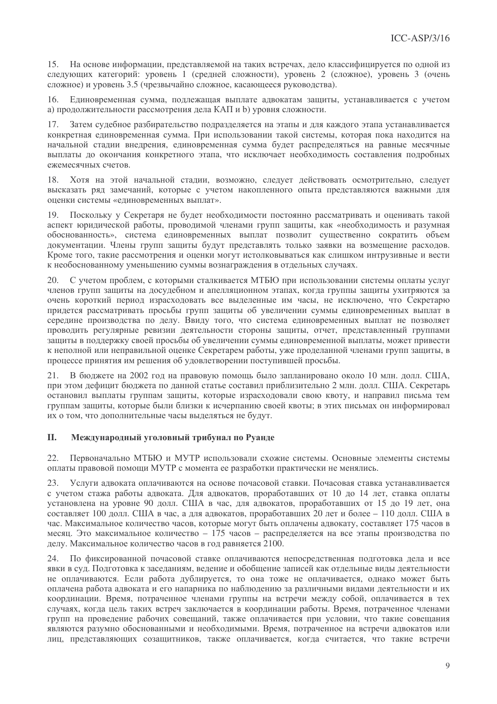15. На основе информации, представляемой на таких встречах, дело классифицируется по одной из следующих категорий: уровень 1 (средней сложности), уровень 2 (сложное), уровень 3 (очень сложное) и уровень 3.5 (чрезвычайно сложное, касающееся руководства).

 $16<sup>-1</sup>$ Елиновременная сумма, поллежащая выплате алвокатам защиты, устанавливается с учетом а) продолжительности рассмотрения дела КАП и b) уровня сложности.

Затем судебное разбирательство подразделяется на этапы и для каждого этапа устанавливается конкретная единовременная сумма. При использовании такой системы, которая пока находится на начальной стадии внедрения, единовременная сумма будет распределяться на равные месячные выплаты до окончания конкретного этапа, что исключает необходимость составления подробных ежемесячных счетов.

Хотя на этой начальной стадии, возможно, следует действовать осмотрительно, следует 18 высказать ряд замечаний, которые с учетом накопленного опыта представляются важными для оценки системы «единовременных выплат».

Поскольку у Секретаря не будет необходимости постоянно рассматривать и оценивать такой  $10<sup>1</sup>$ аспект юрилической работы, проволимой членами групп зашиты, как «необхолимость и разумная обоснованность», система единовременных выплат позволит существенно сократить объем документации. Члены групп защиты будут представлять только заявки на возмещение расходов. Кроме того, такие рассмотрения и оценки могут истолковываться как слишком интрузивные и вести к необоснованному уменьшению суммы вознаграждения в отдельных случаях.

С учетом проблем, с которыми сталкивается МТБЮ при использовании системы оплаты услуг  $20.$ членов групп защиты на досудебном и апелляционном этапах, когда группы защиты ухитряются за очень короткий период израсходовать все выделенные им часы, не исключено, что Секретарю придется рассматривать просьбы групп защиты об увеличении суммы единовременных выплат в середине производства по делу. Ввиду того, что система единовременных выплат не позволяет проводить регулярные ревизии деятельности стороны защиты, отчет, представленный группами защиты в поддержку своей просьбы об увеличении суммы единовременной выплаты, может привести к неполной или неправильной оценке Секретарем работы, уже проделанной членами групп защиты, в процессе принятия им решения об удовлетворении поступившей просьбы.

21. В бюджете на 2002 год на правовую помощь было запланировано около 10 млн. долл. США, при этом дефицит бюджета по данной статье составил приблизительно 2 млн. долл. США. Секретарь остановил выплаты группам защиты, которые израсходовали свою квоту, и направил письма тем группам защиты, которые были близки к исчерпанию своей квоты; в этих письмах он информировал их о том, что дополнительные часы выделяться не будут.

#### II. Международный уголовный трибунал по Руанде

Первоначально МТБЮ и МУТР использовали схожие системы. Основные элементы системы 22. оплаты правовой помощи МУТР с момента ее разработки практически не менялись.

Услуги адвоката оплачиваются на основе почасовой ставки. Почасовая ставка устанавливается 23. с учетом стажа работы адвоката. Для адвокатов, проработавших от 10 до 14 лет, ставка оплаты установлена на уровне 90 долл. США в час, для адвокатов, проработавших от 15 до 19 лет, она составляет 100 долл. США в час, а для адвокатов, проработавших 20 лет и более - 110 долл. США в час. Максимальное количество часов, которые могут быть оплачены адвокату, составляет 175 часов в месяц. Это максимальное количество - 175 часов - распределяется на все этапы производства по делу. Максимальное количество часов в год равняется 2100.

24. По фиксированной почасовой ставке оплачиваются непосредственная подготовка дела и все явки в суд. Подготовка к заседаниям, ведение и обобщение записей как отдельные виды деятельности не оплачиваются. Если работа дублируется, то она тоже не оплачивается, однако может быть оплачена работа адвоката и его напарника по наблюдению за различными видами деятельности и их координации. Время, потраченное членами группы на встречи между собой, оплачивается в тех случаях, когда цель таких встреч заключается в координации работы. Время, потраченное членами групп на проведение рабочих совещаний, также оплачивается при условии, что такие совещания являются разумно обоснованными и необходимыми. Время, потраченное на встречи адвокатов или лиц, представляющих созащитников, также оплачивается, когда считается, что такие встречи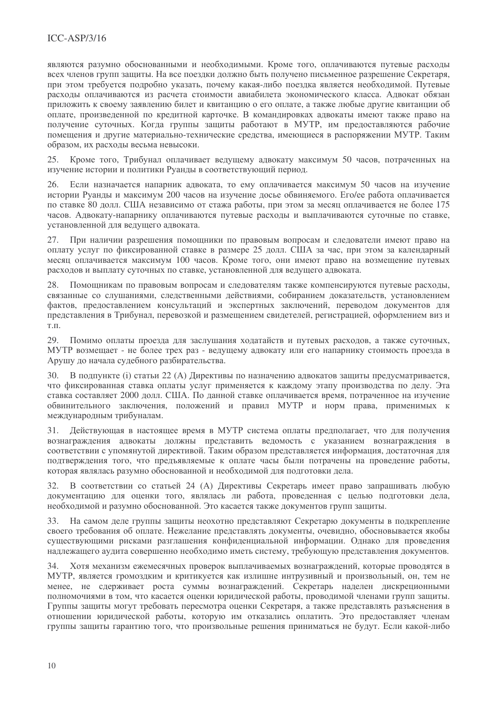являются разумно обоснованными и необходимыми. Кроме того, оплачиваются путевые расходы всех членов групп зашиты. На все поездки должно быть получено письменное разрешение Секретаря. при этом требуется подробно указать, почему какая-либо поездка является необходимой. Путевые расходы оплачиваются из расчета стоимости авиабилета экономического класса. Адвокат обязан приложить к своему заявлению билет и квитанцию о его оплате, а также любые другие квитанции об оплате, произведенной по кредитной карточке. В командировках адвокаты имеют также право на получение суточных. Когда группы защиты работают в МУТР, им предоставляются рабочие помещения и другие материально-технические средства, имеющиеся в распоряжении МУТР. Таким образом, их расходы весьма невысоки.

Кроме того, Трибунал оплачивает ведущему адвокату максимум 50 часов, потраченных на 25. изучение истории и политики Руанды в соответствующий период.

 $26.$ Если назначается напарник адвоката, то ему оплачивается максимум 50 часов на изучение истории Руанлы и максимум 200 часов на изучение лосье обвиняемого. Его/ее работа оплачивается по ставке 80 долл. США независимо от стажа работы, при этом за месяц оплачивается не более 175 часов. Адвокату-напарнику оплачиваются путевые расходы и выплачиваются суточные по ставке, установленной для ведущего адвоката.

 $27.$ При наличии разрешения помощники по правовым вопросам и следователи имеют право на оплату услуг по фиксированной ставке в размере 25 долл. США за час, при этом за календарный месяц оплачивается максимум 100 часов. Кроме того, они имеют право на возмещение путевых расходов и выплату суточных по ставке, установленной для ведущего адвоката.

28. Помощникам по правовым вопросам и следователям также компенсируются путевые расходы, связанные со слушаниями, следственными действиями, собиранием доказательств, установлением фактов, предоставлением консультаций и экспертных заключений, переводом документов для представления в Трибунал, перевозкой и размещением свидетелей, регистрацией, оформлением виз и  $T.\Pi.$ 

Помимо оплаты проезда для заслушания ходатайств и путевых расходов, а также суточных, 29. МУТР возмещает - не более трех раз - ведущему адвокату или его напарнику стоимость проезда в Арушу до начала судебного разбирательства.

30. В подпункте (i) статьи 22 (А) Директивы по назначению адвокатов защиты предусматривается, что фиксированная ставка оплаты услуг применяется к каждому этапу производства по делу. Эта ставка составляет 2000 долл. США. По данной ставке оплачивается время, потраченное на изучение обвинительного заключения, положений и правил МУТР и норм права, применимых к международным трибуналам.

Действующая в настоящее время в МУТР система оплаты предполагает, что для получения 31. вознаграждения адвокаты должны представить ведомость с указанием вознаграждения в соответствии с упомянутой директивой. Таким образом представляется информация, достаточная для подтверждения того, что предъявляемые к оплате часы были потрачены на проведение работы, которая являлась разумно обоснованной и необходимой для подготовки дела.

В соответствии со статьей 24 (А) Директивы Секретарь имеет право запрашивать любую документацию для оценки того, являлась ли работа, проведенная с целью подготовки дела, необходимой и разумно обоснованной. Это касается также документов групп защиты.

На самом деле группы защиты неохотно представляют Секретарю документы в подкрепление 33. своего требования об оплате. Нежелание представлять документы, очевидно, обосновывается якобы существующими рисками разглашения конфиденциальной информации. Однако для проведения надлежащего аудита совершенно необходимо иметь систему, требующую представления документов.

Хотя механизм ежемесячных проверок выплачиваемых вознаграждений, которые проводятся в  $34$ МУТР, является громоздким и критикуется как излишне интрузивный и произвольный, он, тем не менее, не сдерживает роста суммы вознаграждений. Секретарь наделен дискреционными полномочиями в том, что касается оценки юридической работы, проводимой членами групп защиты. Группы защиты могут требовать пересмотра оценки Секретаря, а также представлять разъяснения в отношении юридической работы, которую им отказались оплатить. Это предоставляет членам группы защиты гарантию того, что произвольные решения приниматься не будут. Если какой-либо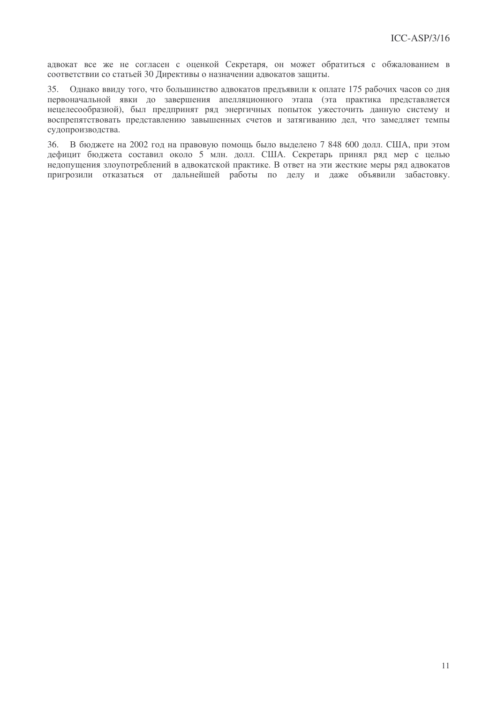адвокат все же не согласен с оценкой Секретаря, он может обратиться с обжалованием в соответствии со статьей 30 Директивы о назначении адвокатов защиты.

Олнако ввилу того, что большинство алвокатов прелъявили к оплате 175 рабочих часов со лня 35. первоначальной явки до завершения апелляционного этапа (эта практика представляется нецелесообразной), был предпринят ряд энергичных попыток ужесточить данную систему и воспрепятствовать представлению завышенных счетов и затягиванию дел, что замедляет темпы судопроизводства.

36. В бюджете на 2002 год на правовую помощь было выделено 7 848 600 долл. США, при этом дефицит бюджета составил около 5 млн. долл. США. Секретарь принял ряд мер с целью недопущения злоупотреблений в адвокатской практике. В ответ на эти жесткие меры ряд адвокатов пригрозили отказаться от дальнейшей работы по делу и даже объявили забастовку.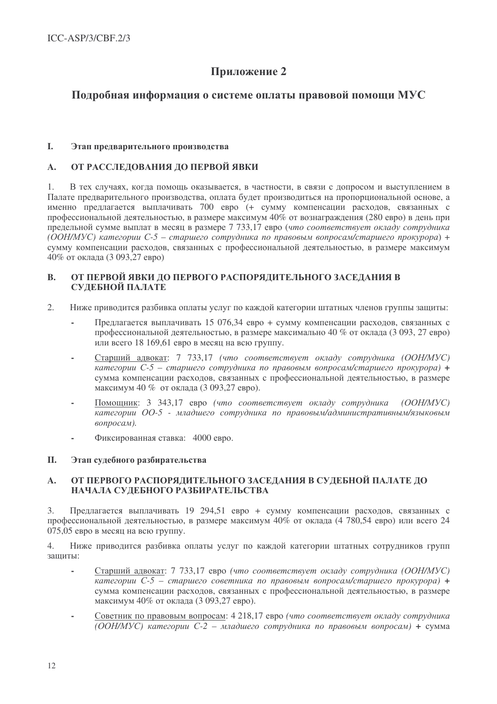# Приложение 2

## Подробная информация о системе оплаты правовой помощи МУС

#### $\mathbf{L}$ Этап предварительного производства

#### ОТ РАССЛЕДОВАНИЯ ДО ПЕРВОЙ ЯВКИ  $\mathbf{A}$ .

В тех случаях, когда помощь оказывается, в частности, в связи с допросом и выступлением в  $1.$ Палате предварительного производства, оплата будет производиться на пропорциональной основе, а именно предлагается выплачивать 700 евро (+ сумму компенсации расходов, связанных с профессиональной деятельностью, в размере максимум 40% от вознаграждения (280 евро) в день при предельной сумме выплат в месяц в размере 7 733,17 евро (что соответствует окладу сотрудника (ООН/МУС) категории C-5 – старшего сотрудника по правовым вопросам/старшего прокурора) + сумму компенсации расходов, связанных с профессиональной деятельностью, в размере максимум 40% от оклада (3 093,27 евро)

### ОТ ПЕРВОЙ ЯВКИ ДО ПЕРВОГО РАСПОРЯДИТЕЛЬНОГО ЗАСЕДАНИЯ В **B.** СУДЕБНОЙ ПАЛАТЕ

- $\overline{2}$ . Ниже приводится разбивка оплаты услуг по каждой категории штатных членов группы защиты:
	- Предлагается выплачивать 15 076,34 евро + сумму компенсации расходов, связанных с профессиональной деятельностью, в размере максимально 40 % от оклада (3 093, 27 евро) или всего 18 169,61 евро в месяц на всю группу.
	- Старший адвокат: 7 733,17 (что соответствует окладу сотрудника (ООН/МУС) категории  $C$ -5 - старшего сотрудника по правовым вопросам/старшего прокурора) + сумма компенсации расходов, связанных с профессиональной деятельностью, в размере максимум 40 % от оклада (3 093,27 евро).
	- Помощник: 3 343,17 евро (что соответствует окладу сотрудника (OOH/MVC) категории ОО-5 - младшего сотрудника по правовым/административным/языковым вопросам).
	- Фиксированная ставка: 4000 евро.  $\overline{a}$

#### II. Этап судебного разбирательства

### ОТ ПЕРВОГО РАСПОРЯДИТЕЛЬНОГО ЗАСЕДАНИЯ В СУЛЕБНОЙ ПАЛАТЕ ЛО  $\mathbf{A}$ . НАЧАЛА СУДЕБНОГО РАЗБИРАТЕЛЬСТВА

Предлагается выплачивать 19 294.51 евро + сумму компенсации расходов, связанных с  $\mathcal{E}$ профессиональной деятельностью, в размере максимум 40% от оклада (4 780.54 евро) или всего 24 075,05 евро в месяц на всю группу.

 $\overline{4}$ . Ниже приводится разбивка оплаты услуг по каждой категории штатных сотрудников групп зашиты:

- Старший адвокат: 7 733,17 евро (что соответствует окладу сотрудника (ООН/МУС)  $\overline{kamezopuu C-5}$  – старшего советника по правовым вопросам/старшего прокурора) + сумма компенсации расходов, связанных с профессиональной деятельностью, в размере максимум 40% от оклада (3 093.27 евро).
- Советник по правовым вопросам: 4 218,17 евро (что соответствует окладу сотрудника  $\overline{(OOH/MVC)}$  категории C-2 – младшего сотрудника по правовым вопросам) + сумма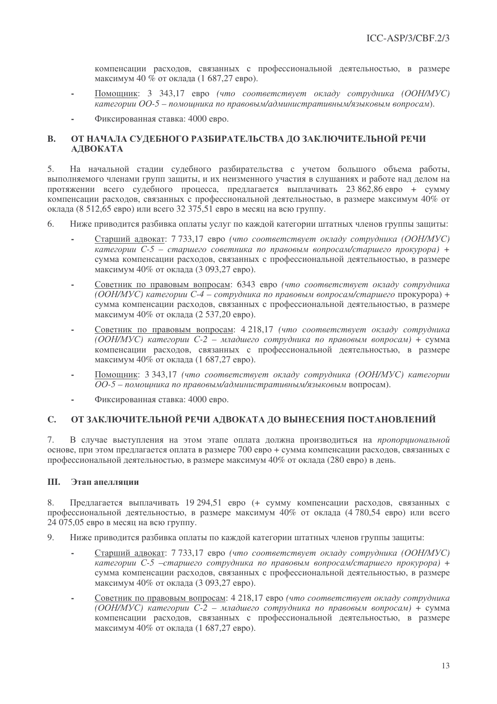компенсации расходов, связанных с профессиональной деятельностью, в размере максимум 40 % от оклада (1 687,27 евро).

- Помощник: 3 343,17 евро (что соответствует окладу сотрудника (ООН/МУС) категории ОО-5 - помощника по правовым/административным/языковым вопросам).
- Фиксированная ставка: 4000 евро.

### ОТ НАЧАЛА СУДЕБНОГО РАЗБИРАТЕЛЬСТВА ДО ЗАКЛЮЧИТЕЛЬНОЙ РЕЧИ  $\mathbf{R}$ . АДВОКАТА

На начальной стадии судебного разбирательства с учетом большого объема работы,  $5<sub>1</sub>$ выполняемого членами групп защиты, и их неизменного участия в слушаниях и работе над делом на протяжении всего судебного процесса, предлагается выплачивать 23 862.86 евро + сумму компенсации расходов, связанных с профессиональной деятельностью, в размере максимум 40% от оклада (8 512.65 евро) или всего 32 375.51 евро в месяц на всю группу.

- $6<sub>1</sub>$ Ниже приводится разбивка оплаты услуг по каждой категории штатных членов группы защиты:
	- Старший алвокат: 7 733.17 евро (что соответствует окладу сотрудника (ООН/МУС) категории C-5 - старшего советника по правовым вопросам/старшего прокурора) + сумма компенсации расходов, связанных с профессиональной деятельностью, в размере максимум 40% от оклада (3 093,27 евро).
	- Советник по правовым вопросам: 6343 евро (что соответствует окладу сотрудника (ООН/МУС) категории C-4 – сотрудника по правовым вопросам/старшего прокурора) + сумма компенсации расходов, связанных с профессиональной деятельностью, в размере максимум 40% от оклада (2 537.20 евро).
	- Советник по правовым вопросам: 4 218,17 (что соответствует окладу сотрудника (ООН/МУС) категории С-2 – младшего сотрудника по правовым вопросам) + сумма компенсации расходов, связанных с профессиональной деятельностью, в размере максимум  $40\%$  от оклала (1 687.27 евро).
	- Помощник: 3 343,17 (что соответствует окладу сотрудника (ООН/МУС) категории ОО-5 - помошника по правовым/административным/языковым вопросам).
	- Фиксированная ставка: 4000 евро.

#### $C_{\bullet}$ ОТ ЗАКЛЮЧИТЕЛЬНОЙ РЕЧИ АЛВОКАТА ЛО ВЫНЕСЕНИЯ ПОСТАНОВЛЕНИЙ

 $7<sub>1</sub>$ В случае выступления на этом этапе оплата должна производиться на пропорциональной основе, при этом предлагается оплата в размере 700 евро + сумма компенсации расходов, связанных с профессиональной деятельностью, в размере максимум 40% от оклада (280 евро) в день.

#### III. Этап апеллянии

Предлагается выплачивать 19 294.51 евро (+ сумму компенсации расходов, связанных с  $8<sup>1</sup>$ профессиональной деятельностью, в размере максимум 40% от оклада (4780,54 евро) или всего 24 075,05 евро в месяц на всю группу.

- $Q$ Ниже приволится разбивка оплаты по кажлой категории штатных членов группы зашиты:
	- Старший адвокат: 7 733,17 евро (что соответствует окладу сотрудника (ООН/МУС) категории С-5 - старшего сотрудника по правовым вопросам/старшего прокурора) + сумма компенсации расходов, связанных с профессиональной деятельностью, в размере максимум 40% от оклада (3 093.27 евро).
	- Советник по правовым вопросам: 4 218,17 евро (что соответствует окладу сотрудника  $(OOH/MVC)$  категории  $C-2$  — младшего сотрудника по правовым вопросам) + сумма компенсации расходов, связанных с профессиональной деятельностью, в размере максимум  $40\%$  от оклада (1 687.27 евро).